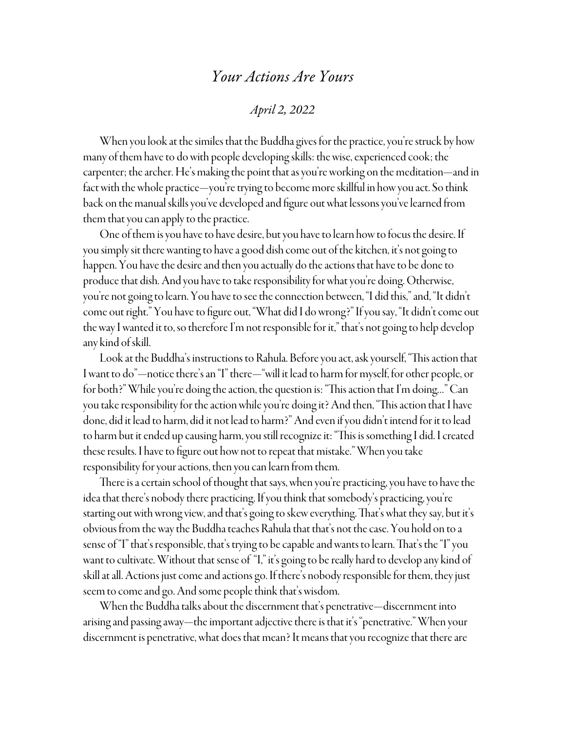## *Your Actions Are Yours*

## *April 2, 2022*

When you look at the similes that the Buddha gives for the practice, you're struck by how many of them have to do with people developing skills: the wise, experienced cook; the carpenter; the archer. He's making the point that as you're working on the meditation—and in fact with the whole practice—you're trying to become more skillful in how you act. So think back on the manual skills you've developed and figure out what lessons you've learned from them that you can apply to the practice.

One of them is you have to have desire, but you have to learn how to focus the desire. If you simply sit there wanting to have a good dish come out of the kitchen, it's not going to happen. You have the desire and then you actually do the actions that have to be done to produce that dish. And you have to take responsibility for what you're doing. Otherwise, you're not going to learn. You have to see the connection between, "I did this," and, "It didn't come out right." You have to figure out, "What did I do wrong?" If you say, "It didn't come out the way I wanted it to, so therefore I'm not responsible for it," that's not going to help develop any kind of skill.

Look at the Buddha's instructions to Rahula. Before you act, ask yourself, "This action that I want to do"—notice there's an "I" there—"will it lead to harm for myself, for other people, or for both?" While you're doing the action, the question is: "This action that I'm doing…" Can you take responsibility for the action while you're doing it? And then, "This action that I have done, did it lead to harm, did it not lead to harm?" And even if you didn't intend for it to lead to harm but it ended up causing harm, you still recognize it: "This is something I did. I created these results. I have to figure out how not to repeat that mistake." When you take responsibility for your actions, then you can learn from them.

There is a certain school of thought that says, when you're practicing, you have to have the idea that there's nobody there practicing. If you think that somebody's practicing, you're starting out with wrong view, and that's going to skew everything. That's what they say, but it's obvious from the way the Buddha teaches Rahula that that's not the case. You hold on to a sense of "I" that's responsible, that's trying to be capable and wants to learn. That's the "I" you want to cultivate. Without that sense of "I," it's going to be really hard to develop any kind of skill at all. Actions just come and actions go. If there's nobody responsible for them, they just seem to come and go. And some people think that's wisdom.

When the Buddha talks about the discernment that's penetrative—discernment into arising and passing away—the important adjective there is that it's "penetrative." When your discernment is penetrative, what does that mean? It means that you recognize that there are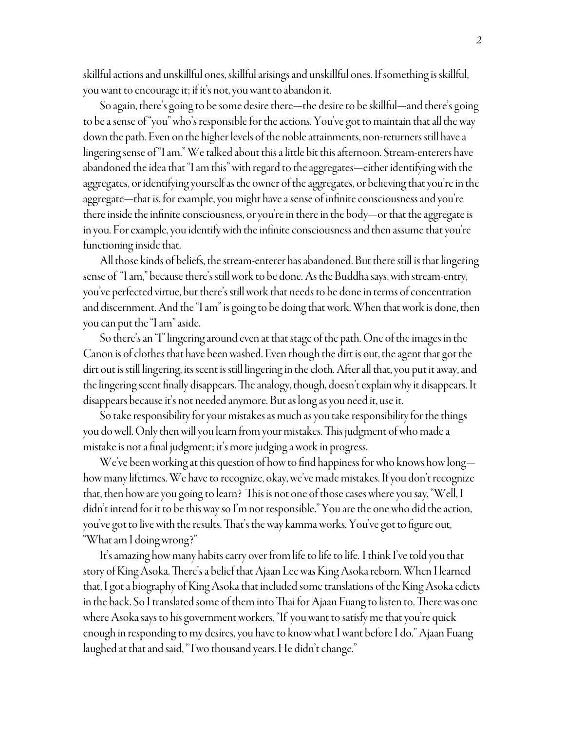skillful actions and unskillful ones, skillful arisings and unskillful ones. If something is skillful, you want to encourage it; if it's not, you want to abandon it.

So again, there's going to be some desire there—the desire to be skillful—and there's going to be a sense of "you" who's responsible for the actions. You've got to maintain that all the way down the path. Even on the higher levels of the noble attainments, non-returners still have a lingering sense of "I am." We talked about this a little bit this afternoon. Stream-enterers have abandoned the idea that "I am this" with regard to the aggregates—either identifying with the aggregates, or identifying yourself as the owner of the aggregates, or believing that you're in the aggregate—that is, for example, you might have a sense of infinite consciousness and you're there inside the infinite consciousness, or you're in there in the body—or that the aggregate is in you. For example, you identify with the infinite consciousness and then assume that you're functioning inside that.

All those kinds of beliefs, the stream-enterer has abandoned. But there still is that lingering sense of "I am," because there's still work to be done. As the Buddha says, with stream-entry, you've perfected virtue, but there's still work that needs to be done in terms of concentration and discernment. And the "I am" is going to be doing that work. When that work is done, then you can put the "I am" aside.

So there's an "I" lingering around even at that stage of the path. One of the images in the Canon is of clothes that have been washed. Even though the dirt is out, the agent that got the dirt out is still lingering, its scent is still lingering in the cloth. After all that, you put it away, and the lingering scent finally disappears. The analogy, though, doesn't explain why it disappears. It disappears because it's not needed anymore. But as long as you need it, use it.

So take responsibility for your mistakes as much as you take responsibility for the things you do well. Only then will you learn from your mistakes. This judgment of who made a mistake is not a final judgment; it's more judging a work in progress.

We've been working at this question of how to find happiness for who knows how long how many lifetimes. We have to recognize, okay, we've made mistakes. If you don't recognize that, then how are you going to learn? This is not one of those cases where you say, "Well, I didn't intend for it to be this way so I'm not responsible." You are the one who did the action, you've got to live with the results. That's the way kamma works. You've got to figure out, "What am I doing wrong?"

It's amazing how many habits carry over from life to life to life. I think I've told you that story of King Asoka. There's a belief that Ajaan Lee was King Asoka reborn. When I learned that, I got a biography of King Asoka that included some translations of the King Asoka edicts in the back. So I translated some of them into Thai for Ajaan Fuang to listen to. There was one where Asoka says to his government workers, "If you want to satisfy me that you're quick enough in responding to my desires, you have to know what I want before I do." Ajaan Fuang laughed at that and said, "Two thousand years. He didn't change."